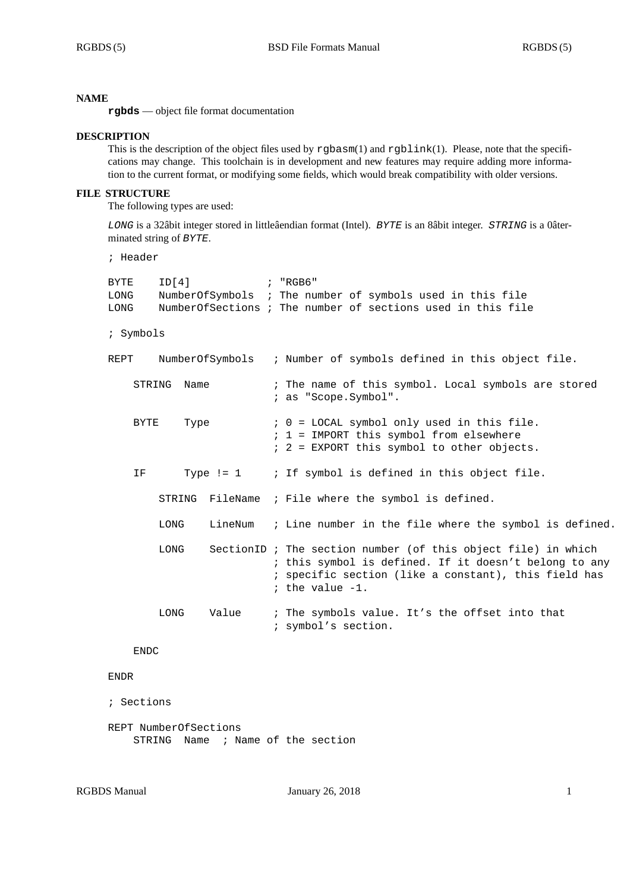### **NAME**

**rgbds** — object file format documentation

### **DESCRIPTION**

This is the description of the object files used by rgbasm(1) and rgblink(1). Please, note that the specifications may change. This toolchain is in development and new features may require adding more information to the current format, or modifying some fields, which would break compatibility with older versions.

# **FILE STRUCTURE**

The following types are used:

*LONG* is a 32âbit integer stored in littleâendian format (Intel). *BYTE* is an 8âbit integer. *STRING* is a 0âterminated string of *BYTE*.

```
; Header
```

| BYTE<br>LONG<br>LONG    | ID[4]<br>$\mathcal{L}$ $\mathcal{L}$ $\mathcal{L}$ $\mathcal{L}$ $\mathcal{L}$ $\mathcal{L}$ $\mathcal{L}$ $\mathcal{L}$ $\mathcal{L}$ $\mathcal{L}$ $\mathcal{L}$ $\mathcal{L}$ $\mathcal{L}$ $\mathcal{L}$ $\mathcal{L}$ $\mathcal{L}$ $\mathcal{L}$ $\mathcal{L}$ $\mathcal{L}$ $\mathcal{L}$ $\mathcal{L}$ $\mathcal{L}$ $\mathcal{L}$ $\mathcal{L}$ $\mathcal{$ |                                                                             | NumberOfSymbols ; The number of symbols used in this file<br>NumberOfSections ; The number of sections used in this file                                                                             |
|-------------------------|----------------------------------------------------------------------------------------------------------------------------------------------------------------------------------------------------------------------------------------------------------------------------------------------------------------------------------------------------------------------|-----------------------------------------------------------------------------|------------------------------------------------------------------------------------------------------------------------------------------------------------------------------------------------------|
| ; Symbols               |                                                                                                                                                                                                                                                                                                                                                                      |                                                                             |                                                                                                                                                                                                      |
| NumberOfSymbols<br>REPT |                                                                                                                                                                                                                                                                                                                                                                      | ; Number of symbols defined in this object file.                            |                                                                                                                                                                                                      |
| STRING<br>Name          |                                                                                                                                                                                                                                                                                                                                                                      | ; The name of this symbol. Local symbols are stored<br>; as "Scope.Symbol". |                                                                                                                                                                                                      |
|                         | <b>BYTE</b><br>Type                                                                                                                                                                                                                                                                                                                                                  |                                                                             | $: 0 =$ LOCAL symbol only used in this file.<br>; 1 = IMPORT this symbol from elsewhere<br>$: 2 = EXPORT$ this symbol to other objects.                                                              |
| ΙF                      |                                                                                                                                                                                                                                                                                                                                                                      |                                                                             | Type != $1$ ; If symbol is defined in this object file.                                                                                                                                              |
|                         |                                                                                                                                                                                                                                                                                                                                                                      |                                                                             | STRING FileName ; File where the symbol is defined.                                                                                                                                                  |
|                         | LONG                                                                                                                                                                                                                                                                                                                                                                 |                                                                             | LineNum ; Line number in the file where the symbol is defined.                                                                                                                                       |
|                         | LONG                                                                                                                                                                                                                                                                                                                                                                 |                                                                             | SectionID ; The section number (of this object file) in which<br>; this symbol is defined. If it doesn't belong to any<br>; specific section (like a constant), this field has<br>; the value $-1$ . |
|                         | LONG                                                                                                                                                                                                                                                                                                                                                                 | Value                                                                       | ; The symbols value. It's the offset into that<br>; symbol's section.                                                                                                                                |

### ENDC

## ENDR

```
; Sections
```

```
REPT NumberOfSections
STRING Name ; Name of the section
```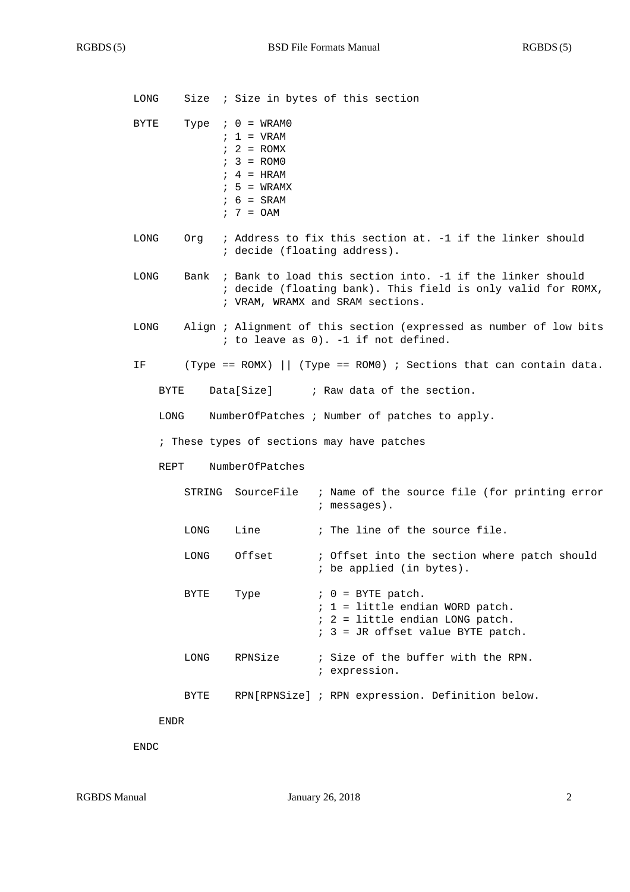| LONG |      |                                                                                                                                         | Size : Size in bytes of this section                                                                                                                               |
|------|------|-----------------------------------------------------------------------------------------------------------------------------------------|--------------------------------------------------------------------------------------------------------------------------------------------------------------------|
| BYTE |      | Type $: 0 = WRAM0$<br>$; 1 = \text{VRAM}$<br>$: 2 = ROMX$<br>$: 3 = ROMO$<br>$: 4 = HRAM$<br>$: 5 = WRAMX$<br>$: 6 = SRAM$<br>$7 = 0AM$ |                                                                                                                                                                    |
| LONG |      | ; decide (floating address).                                                                                                            | Org ; Address to fix this section at. -1 if the linker should                                                                                                      |
| LONG |      |                                                                                                                                         | Bank ; Bank to load this section into. -1 if the linker should<br>; decide (floating bank). This field is only valid for ROMX,<br>; VRAM, WRAMX and SRAM sections. |
| LONG |      |                                                                                                                                         | Align ; Alignment of this section (expressed as number of low bits<br>; to leave as 0). -1 if not defined.                                                         |
| ΙF   |      |                                                                                                                                         | (Type == ROMX)   (Type == ROMO) ; Sections that can contain data.                                                                                                  |
| BYTE |      |                                                                                                                                         | Data[Size] ; Raw data of the section.                                                                                                                              |
| LONG |      |                                                                                                                                         | NumberOfPatches ; Number of patches to apply.                                                                                                                      |
|      |      |                                                                                                                                         | ; These types of sections may have patches                                                                                                                         |
| REPT |      | NumberOfPatches                                                                                                                         |                                                                                                                                                                    |
|      |      |                                                                                                                                         | STRING SourceFile : Name of the source file (for printing error<br>; messages).                                                                                    |
|      | LONG | Line                                                                                                                                    | ; The line of the source file.                                                                                                                                     |
|      | LONG | Offset                                                                                                                                  | ; Offset into the section where patch should<br>; be applied (in bytes).                                                                                           |
|      | BYTE | Type                                                                                                                                    | $: 0 = BYTE$ patch.<br>$: 1 =$ little endian WORD patch.<br>; 2 = little endian LONG patch.<br>; 3 = JR offset value BYTE patch.                                   |
|      | LONG | RPNSize                                                                                                                                 | ; Size of the buffer with the RPN.<br>; expression.                                                                                                                |
|      | BYTE |                                                                                                                                         | RPN[RPNSize] ; RPN expression. Definition below.                                                                                                                   |
| ENDR |      |                                                                                                                                         |                                                                                                                                                                    |

ENDC

RGBDS Manual January 26, 2018 2